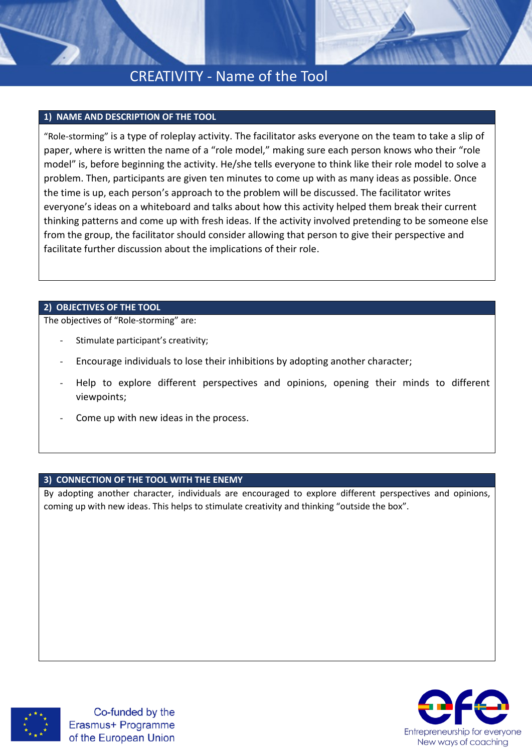# CREATIVITY - Name of the Tool

## **1) NAME AND DESCRIPTION OF THE TOOL**

"Role-storming" is a type of roleplay activity. The facilitator asks everyone on the team to take a slip of paper, where is written the name of a "role model," making sure each person knows who their "role model" is, before beginning the activity. He/she tells everyone to think like their role model to solve a problem. Then, participants are given ten minutes to come up with as many ideas as possible. Once the time is up, each person's approach to the problem will be discussed. The facilitator writes everyone's ideas on a whiteboard and talks about how this activity helped them break their current thinking patterns and come up with fresh ideas. If the activity involved pretending to be someone else from the group, the facilitator should consider allowing that person to give their perspective and facilitate further discussion about the implications of their role.

## **2) OBJECTIVES OF THE TOOL**

The objectives of "Role-storming" are:

- Stimulate participant's creativity;
- Encourage individuals to lose their inhibitions by adopting another character;
- Help to explore different perspectives and opinions, opening their minds to different viewpoints;
- Come up with new ideas in the process.

# **3) CONNECTION OF THE TOOL WITH THE ENEMY**

By adopting another character, individuals are encouraged to explore different perspectives and opinions, coming up with new ideas. This helps to stimulate creativity and thinking "outside the box".



Co-funded by the Erasmus+ Programme of the European Union